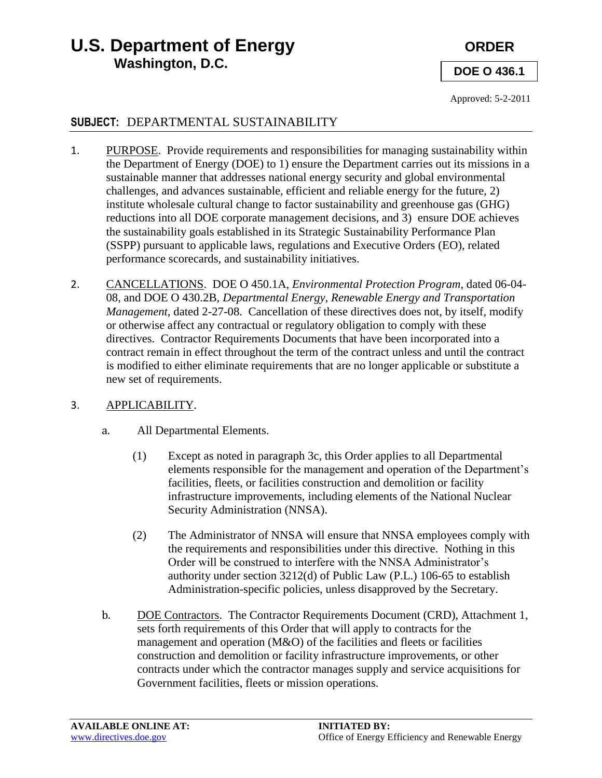# **U.S. Department of Energy CRDER Washington, D.C.**

**DOE O 436.1**

Approved: 5-2-2011

#### **SUBJECT:** DEPARTMENTAL SUSTAINABILITY

- 1. PURPOSE. Provide requirements and responsibilities for managing sustainability within the Department of Energy (DOE) to 1) ensure the Department carries out its missions in a sustainable manner that addresses national energy security and global environmental challenges, and advances sustainable, efficient and reliable energy for the future, 2) institute wholesale cultural change to factor sustainability and greenhouse gas (GHG) reductions into all DOE corporate management decisions, and 3) ensure DOE achieves the sustainability goals established in its Strategic Sustainability Performance Plan (SSPP) pursuant to applicable laws, regulations and Executive Orders (EO), related performance scorecards, and sustainability initiatives.
- 2. CANCELLATIONS. DOE O 450.1A, *Environmental Protection Program*, dated 06-04- 08, and DOE O 430.2B, *Departmental Energy, Renewable Energy and Transportation Management*, dated 2-27-08. Cancellation of these directives does not, by itself, modify or otherwise affect any contractual or regulatory obligation to comply with these directives. Contractor Requirements Documents that have been incorporated into a contract remain in effect throughout the term of the contract unless and until the contract is modified to either eliminate requirements that are no longer applicable or substitute a new set of requirements.

#### 3. APPLICABILITY.

- a. All Departmental Elements.
	- (1) Except as noted in paragraph 3c, this Order applies to all Departmental elements responsible for the management and operation of the Department's facilities, fleets, or facilities construction and demolition or facility infrastructure improvements, including elements of the National Nuclear Security Administration (NNSA).
	- (2) The Administrator of NNSA will ensure that NNSA employees comply with the requirements and responsibilities under this directive. Nothing in this Order will be construed to interfere with the NNSA Administrator's authority under section 3212(d) of Public Law (P.L.) 106-65 to establish Administration-specific policies, unless disapproved by the Secretary.
- b. DOE Contractors. The Contractor Requirements Document (CRD), Attachment 1, sets forth requirements of this Order that will apply to contracts for the management and operation (M&O) of the facilities and fleets or facilities construction and demolition or facility infrastructure improvements, or other contracts under which the contractor manages supply and service acquisitions for Government facilities, fleets or mission operations.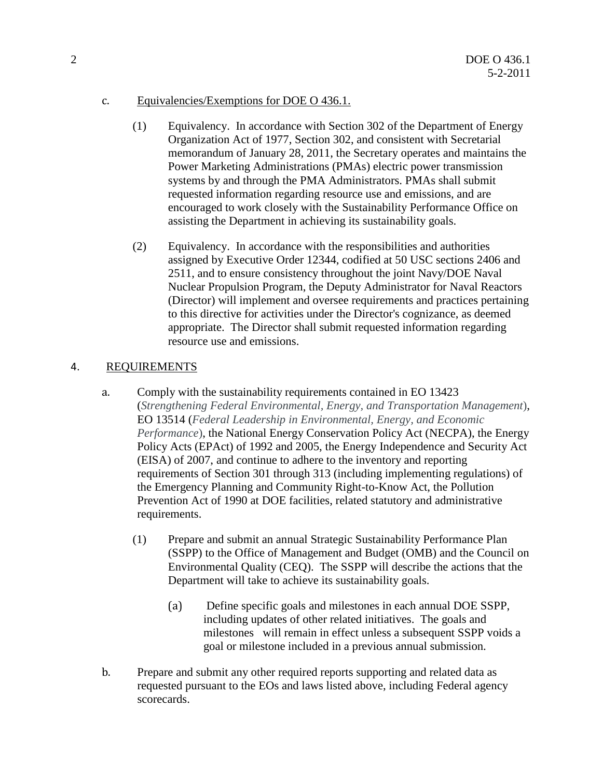#### c. Equivalencies/Exemptions for DOE O 436.1.

- (1) Equivalency. In accordance with Section 302 of the Department of Energy Organization Act of 1977, Section 302, and consistent with Secretarial memorandum of January 28, 2011, the Secretary operates and maintains the Power Marketing Administrations (PMAs) electric power transmission systems by and through the PMA Administrators. PMAs shall submit requested information regarding resource use and emissions, and are encouraged to work closely with the Sustainability Performance Office on assisting the Department in achieving its sustainability goals.
- (2) Equivalency. In accordance with the responsibilities and authorities assigned by Executive Order 12344, codified at 50 USC sections 2406 and 2511, and to ensure consistency throughout the joint Navy/DOE Naval Nuclear Propulsion Program, the Deputy Administrator for Naval Reactors (Director) will implement and oversee requirements and practices pertaining to this directive for activities under the Director's cognizance, as deemed appropriate. The Director shall submit requested information regarding resource use and emissions.

#### 4. REQUIREMENTS

- a. Comply with the sustainability requirements contained in EO 13423 (*Strengthening Federal Environmental, Energy, and Transportation Management*), EO 13514 (*Federal Leadership in Environmental, Energy, and Economic Performance*), the National Energy Conservation Policy Act (NECPA), the Energy Policy Acts (EPAct) of 1992 and 2005, the Energy Independence and Security Act (EISA) of 2007, and continue to adhere to the inventory and reporting requirements of Section 301 through 313 (including implementing regulations) of the Emergency Planning and Community Right-to-Know Act, the Pollution Prevention Act of 1990 at DOE facilities, related statutory and administrative requirements.
	- (1) Prepare and submit an annual Strategic Sustainability Performance Plan (SSPP) to the Office of Management and Budget (OMB) and the Council on Environmental Quality (CEQ). The SSPP will describe the actions that the Department will take to achieve its sustainability goals.
		- (a) Define specific goals and milestones in each annual DOE SSPP, including updates of other related initiatives. The goals and milestones will remain in effect unless a subsequent SSPP voids a goal or milestone included in a previous annual submission.
- b. Prepare and submit any other required reports supporting and related data as requested pursuant to the EOs and laws listed above, including Federal agency scorecards.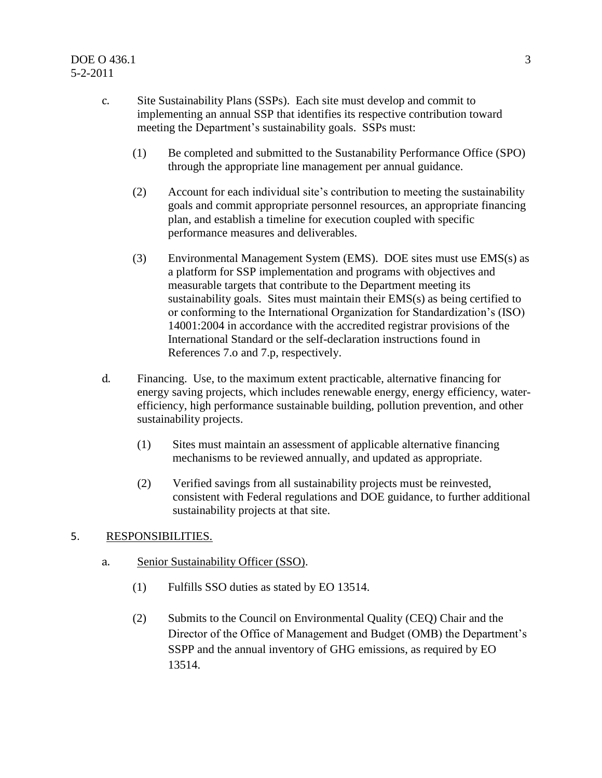- c. Site Sustainability Plans (SSPs). Each site must develop and commit to implementing an annual SSP that identifies its respective contribution toward meeting the Department's sustainability goals. SSPs must:
	- (1) Be completed and submitted to the Sustanability Performance Office (SPO) through the appropriate line management per annual guidance.
	- (2) Account for each individual site's contribution to meeting the sustainability goals and commit appropriate personnel resources, an appropriate financing plan, and establish a timeline for execution coupled with specific performance measures and deliverables.
	- (3) Environmental Management System (EMS). DOE sites must use EMS(s) as a platform for SSP implementation and programs with objectives and measurable targets that contribute to the Department meeting its sustainability goals. Sites must maintain their EMS(s) as being certified to or conforming to the International Organization for Standardization's (ISO) 14001:2004 in accordance with the accredited registrar provisions of the International Standard or the self-declaration instructions found in References 7.o and 7.p, respectively.
- d. Financing. Use, to the maximum extent practicable, alternative financing for energy saving projects, which includes renewable energy, energy efficiency, waterefficiency, high performance sustainable building, pollution prevention, and other sustainability projects.
	- (1) Sites must maintain an assessment of applicable alternative financing mechanisms to be reviewed annually, and updated as appropriate.
	- (2) Verified savings from all sustainability projects must be reinvested, consistent with Federal regulations and DOE guidance, to further additional sustainability projects at that site.

#### 5. RESPONSIBILITIES.

- a. Senior Sustainability Officer (SSO).
	- (1) Fulfills SSO duties as stated by EO 13514.
	- (2) Submits to the Council on Environmental Quality (CEQ) Chair and the Director of the Office of Management and Budget (OMB) the Department's SSPP and the annual inventory of GHG emissions, as required by EO 13514.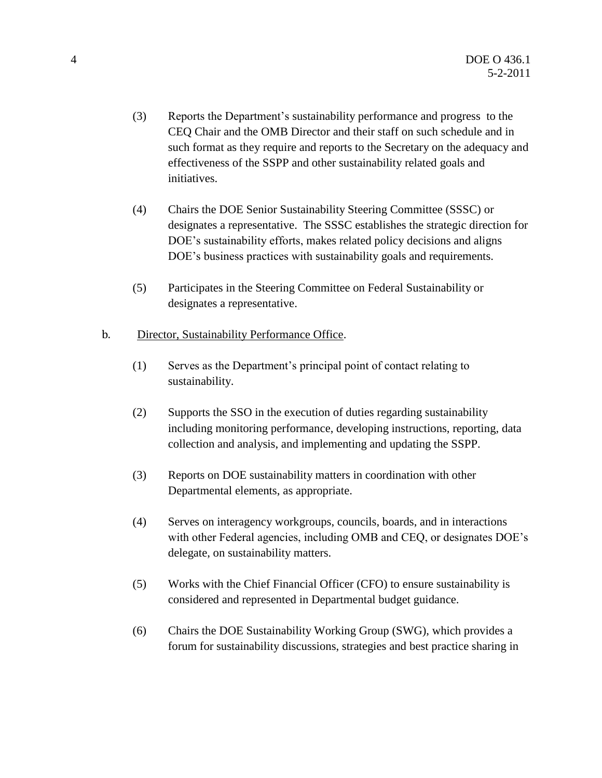- (3) Reports the Department's sustainability performance and progress to the CEQ Chair and the OMB Director and their staff on such schedule and in such format as they require and reports to the Secretary on the adequacy and effectiveness of the SSPP and other sustainability related goals and initiatives.
- (4) Chairs the DOE Senior Sustainability Steering Committee (SSSC) or designates a representative. The SSSC establishes the strategic direction for DOE's sustainability efforts, makes related policy decisions and aligns DOE's business practices with sustainability goals and requirements.
- (5) Participates in the Steering Committee on Federal Sustainability or designates a representative.
- b. Director, Sustainability Performance Office.
	- (1) Serves as the Department's principal point of contact relating to sustainability.
	- (2) Supports the SSO in the execution of duties regarding sustainability including monitoring performance, developing instructions, reporting, data collection and analysis, and implementing and updating the SSPP.
	- (3) Reports on DOE sustainability matters in coordination with other Departmental elements, as appropriate.
	- (4) Serves on interagency workgroups, councils, boards, and in interactions with other Federal agencies, including OMB and CEQ, or designates DOE's delegate, on sustainability matters.
	- (5) Works with the Chief Financial Officer (CFO) to ensure sustainability is considered and represented in Departmental budget guidance.
	- (6) Chairs the DOE Sustainability Working Group (SWG), which provides a forum for sustainability discussions, strategies and best practice sharing in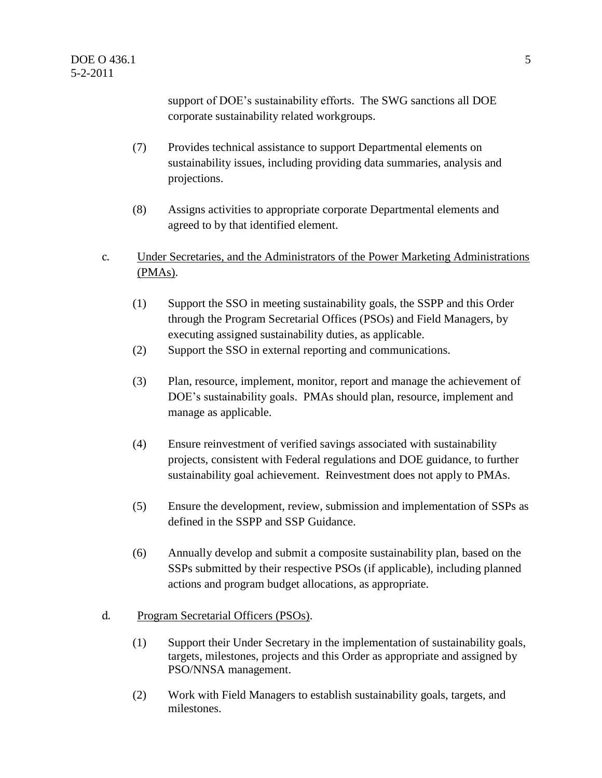support of DOE's sustainability efforts. The SWG sanctions all DOE corporate sustainability related workgroups.

- (7) Provides technical assistance to support Departmental elements on sustainability issues, including providing data summaries, analysis and projections.
- (8) Assigns activities to appropriate corporate Departmental elements and agreed to by that identified element.
- c. Under Secretaries, and the Administrators of the Power Marketing Administrations (PMAs).
	- (1) Support the SSO in meeting sustainability goals, the SSPP and this Order through the Program Secretarial Offices (PSOs) and Field Managers, by executing assigned sustainability duties, as applicable.
	- (2) Support the SSO in external reporting and communications.
	- (3) Plan, resource, implement, monitor, report and manage the achievement of DOE's sustainability goals. PMAs should plan, resource, implement and manage as applicable.
	- (4) Ensure reinvestment of verified savings associated with sustainability projects, consistent with Federal regulations and DOE guidance, to further sustainability goal achievement. Reinvestment does not apply to PMAs.
	- (5) Ensure the development, review, submission and implementation of SSPs as defined in the SSPP and SSP Guidance.
	- (6) Annually develop and submit a composite sustainability plan, based on the SSPs submitted by their respective PSOs (if applicable), including planned actions and program budget allocations, as appropriate.
- d. Program Secretarial Officers (PSOs).
	- (1) Support their Under Secretary in the implementation of sustainability goals, targets, milestones, projects and this Order as appropriate and assigned by PSO/NNSA management.
	- (2) Work with Field Managers to establish sustainability goals, targets, and milestones.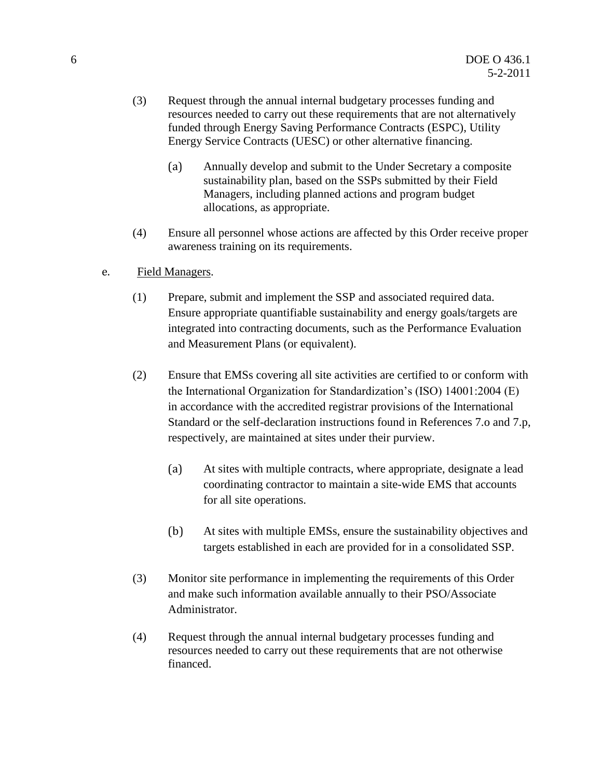- (3) Request through the annual internal budgetary processes funding and resources needed to carry out these requirements that are not alternatively funded through Energy Saving Performance Contracts (ESPC), Utility Energy Service Contracts (UESC) or other alternative financing.
	- (a) Annually develop and submit to the Under Secretary a composite sustainability plan, based on the SSPs submitted by their Field Managers, including planned actions and program budget allocations, as appropriate.
- (4) Ensure all personnel whose actions are affected by this Order receive proper awareness training on its requirements.
- e. Field Managers.
	- (1) Prepare, submit and implement the SSP and associated required data. Ensure appropriate quantifiable sustainability and energy goals/targets are integrated into contracting documents, such as the Performance Evaluation and Measurement Plans (or equivalent).
	- (2) Ensure that EMSs covering all site activities are certified to or conform with the International Organization for Standardization's (ISO) 14001:2004 (E) in accordance with the accredited registrar provisions of the International Standard or the self-declaration instructions found in References 7.o and 7.p, respectively, are maintained at sites under their purview.
		- (a) At sites with multiple contracts, where appropriate, designate a lead coordinating contractor to maintain a site-wide EMS that accounts for all site operations.
		- (b) At sites with multiple EMSs, ensure the sustainability objectives and targets established in each are provided for in a consolidated SSP.
	- (3) Monitor site performance in implementing the requirements of this Order and make such information available annually to their PSO/Associate Administrator.
	- (4) Request through the annual internal budgetary processes funding and resources needed to carry out these requirements that are not otherwise financed.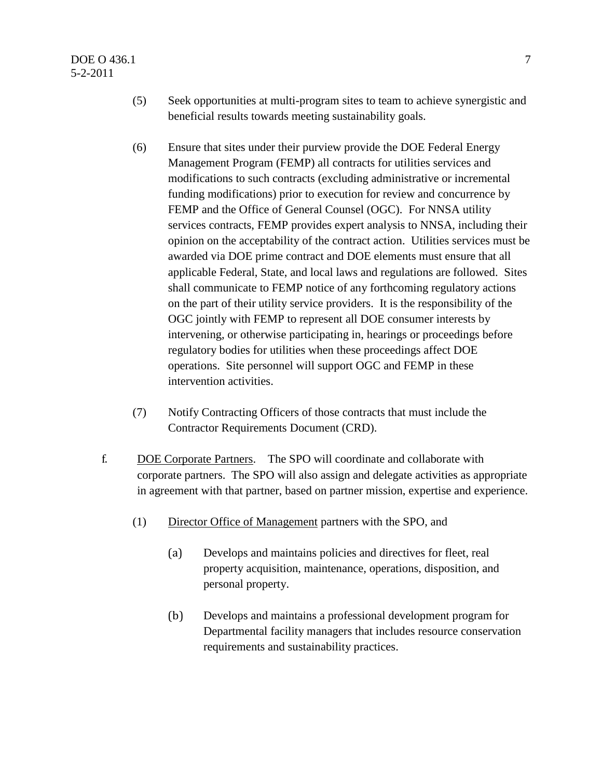#### DOE O 436.1 7 5-2-2011

- (5) Seek opportunities at multi-program sites to team to achieve synergistic and beneficial results towards meeting sustainability goals.
- (6) Ensure that sites under their purview provide the DOE Federal Energy Management Program (FEMP) all contracts for utilities services and modifications to such contracts (excluding administrative or incremental funding modifications) prior to execution for review and concurrence by FEMP and the Office of General Counsel (OGC). For NNSA utility services contracts, FEMP provides expert analysis to NNSA, including their opinion on the acceptability of the contract action. Utilities services must be awarded via DOE prime contract and DOE elements must ensure that all applicable Federal, State, and local laws and regulations are followed. Sites shall communicate to FEMP notice of any forthcoming regulatory actions on the part of their utility service providers. It is the responsibility of the OGC jointly with FEMP to represent all DOE consumer interests by intervening, or otherwise participating in, hearings or proceedings before regulatory bodies for utilities when these proceedings affect DOE operations. Site personnel will support OGC and FEMP in these intervention activities.
- (7) Notify Contracting Officers of those contracts that must include the Contractor Requirements Document (CRD).
- f. DOE Corporate Partners. The SPO will coordinate and collaborate with corporate partners. The SPO will also assign and delegate activities as appropriate in agreement with that partner, based on partner mission, expertise and experience.
	- (1) Director Office of Management partners with the SPO, and
		- (a) Develops and maintains policies and directives for fleet, real property acquisition, maintenance, operations, disposition, and personal property.
		- (b) Develops and maintains a professional development program for Departmental facility managers that includes resource conservation requirements and sustainability practices.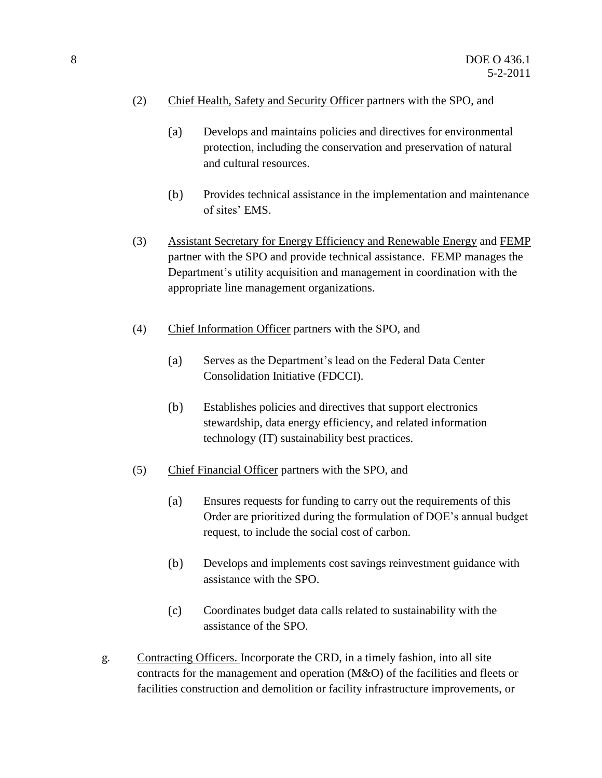- (2) Chief Health, Safety and Security Officer partners with the SPO, and
	- (a) Develops and maintains policies and directives for environmental protection, including the conservation and preservation of natural and cultural resources.
	- (b) Provides technical assistance in the implementation and maintenance of sites' EMS.
- (3) Assistant Secretary for Energy Efficiency and Renewable Energy and FEMP partner with the SPO and provide technical assistance. FEMP manages the Department's utility acquisition and management in coordination with the appropriate line management organizations.
- (4) Chief Information Officer partners with the SPO, and
	- (a) Serves as the Department's lead on the Federal Data Center Consolidation Initiative (FDCCI).
	- (b) Establishes policies and directives that support electronics stewardship, data energy efficiency, and related information technology (IT) sustainability best practices.
- (5) Chief Financial Officer partners with the SPO, and
	- (a) Ensures requests for funding to carry out the requirements of this Order are prioritized during the formulation of DOE's annual budget request, to include the social cost of carbon.
	- (b) Develops and implements cost savings reinvestment guidance with assistance with the SPO.
	- (c) Coordinates budget data calls related to sustainability with the assistance of the SPO.
- g. Contracting Officers. Incorporate the CRD, in a timely fashion, into all site contracts for the management and operation (M&O) of the facilities and fleets or facilities construction and demolition or facility infrastructure improvements, or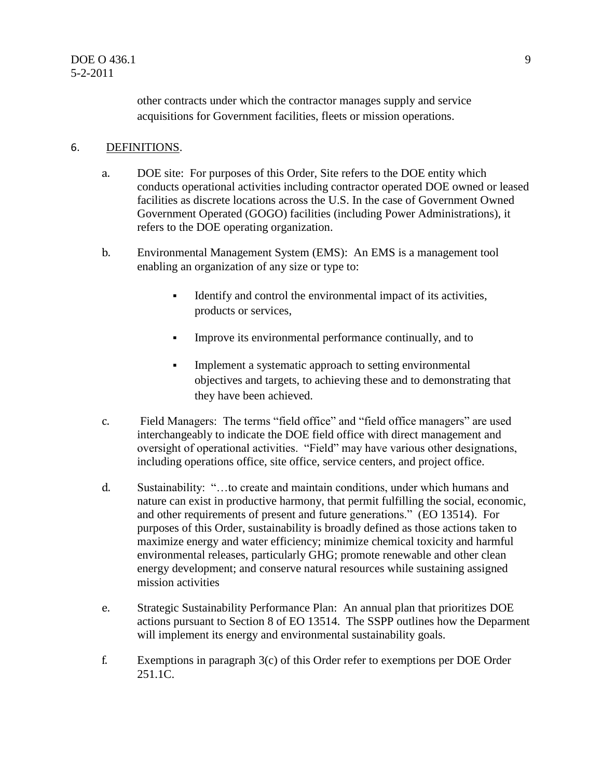other contracts under which the contractor manages supply and service acquisitions for Government facilities, fleets or mission operations.

#### 6. DEFINITIONS.

- a. DOE site: For purposes of this Order, Site refers to the DOE entity which conducts operational activities including contractor operated DOE owned or leased facilities as discrete locations across the U.S. In the case of Government Owned Government Operated (GOGO) facilities (including Power Administrations), it refers to the DOE operating organization.
- b. Environmental Management System (EMS): An EMS is a management tool enabling an organization of any size or type to:
	- Identify and control the environmental impact of its activities, products or services,
	- Improve its environmental performance continually, and to
	- **Implement a systematic approach to setting environmental** objectives and targets, to achieving these and to demonstrating that they have been achieved.
- c. Field Managers: The terms "field office" and "field office managers" are used interchangeably to indicate the DOE field office with direct management and oversight of operational activities. "Field" may have various other designations, including operations office, site office, service centers, and project office.
- d. Sustainability: "…to create and maintain conditions, under which humans and nature can exist in productive harmony, that permit fulfilling the social, economic, and other requirements of present and future generations." (EO 13514). For purposes of this Order, sustainability is broadly defined as those actions taken to maximize energy and water efficiency; minimize chemical toxicity and harmful environmental releases, particularly GHG; promote renewable and other clean energy development; and conserve natural resources while sustaining assigned mission activities
- e. Strategic Sustainability Performance Plan: An annual plan that prioritizes DOE actions pursuant to Section 8 of EO 13514. The SSPP outlines how the Deparment will implement its energy and environmental sustainability goals.
- f. Exemptions in paragraph  $3(c)$  of this Order refer to exemptions per DOE Order 251.1C.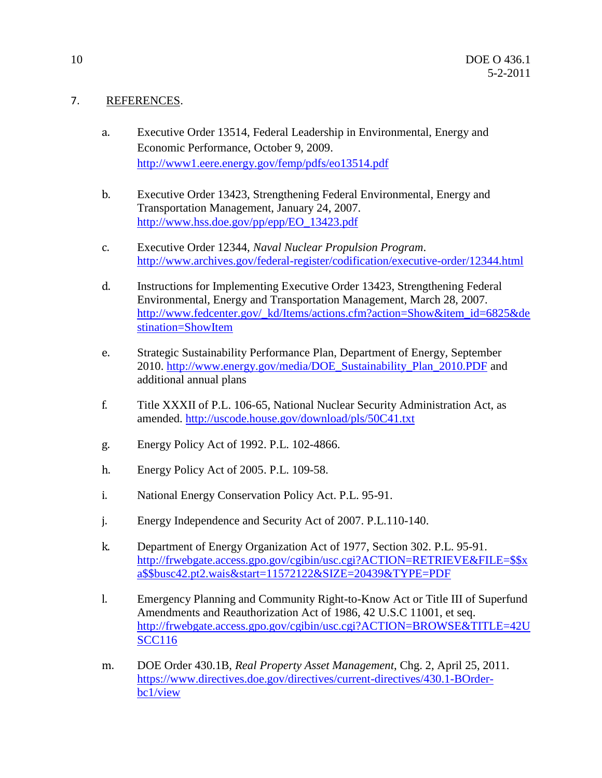#### 7. REFERENCES.

- a. Executive Order 13514, Federal Leadership in Environmental, Energy and Economic Performance, October 9, 2009. <http://www1.eere.energy.gov/femp/pdfs/eo13514.pdf>
- b. Executive Order 13423, Strengthening Federal Environmental, Energy and Transportation Management, January 24, 2007. [http://www.hss.doe.gov/pp/epp/EO\\_13423.pdf](http://www.hss.doe.gov/pp/epp/EO_13423.pdf)
- c. Executive Order 12344, *Naval Nuclear Propulsion Program*. <http://www.archives.gov/federal-register/codification/executive-order/12344.html>
- d. Instructions for Implementing Executive Order 13423, Strengthening Federal Environmental, Energy and Transportation Management, March 28, 2007. [http://www.fedcenter.gov/\\_kd/Items/actions.cfm?action=Show&item\\_id=6825&de](http://www.fedcenter.gov/_kd/Items/actions.cfm?action=Show&item_id=6825&destination=ShowItem) [stination=ShowItem](http://www.fedcenter.gov/_kd/Items/actions.cfm?action=Show&item_id=6825&destination=ShowItem)
- e. Strategic Sustainability Performance Plan, Department of Energy, September 2010. [http://www.energy.gov/media/DOE\\_Sustainability\\_Plan\\_2010.PDF](http://www.energy.gov/media/DOE_Sustainability_Plan_2010.PDF) and additional annual plans
- f. Title XXXII of P.L. 106-65, National Nuclear Security Administration Act, as amended. <http://uscode.house.gov/download/pls/50C41.txt>
- g. Energy Policy Act of 1992. P.L. 102-4866.
- h. Energy Policy Act of 2005. P.L. 109-58.
- i. National Energy Conservation Policy Act. P.L. 95-91.
- j. Energy Independence and Security Act of 2007. P.L.110-140.
- k. Department of Energy Organization Act of 1977, Section 302. P.L. 95-91. [http://frwebgate.access.gpo.gov/cgibin/usc.cgi?ACTION=RETRIEVE&FILE=\\$\\$x](http://frwebgate.access.gpo.gov/cgibin/usc.cgi?ACTION=RETRIEVE&FILE=$$xa$$busc42.pt2.wais&start=11572122&SIZE=20439&TYPE=PDF) [a\\$\\$busc42.pt2.wais&start=11572122&SIZE=20439&TYPE=PDF](http://frwebgate.access.gpo.gov/cgibin/usc.cgi?ACTION=RETRIEVE&FILE=$$xa$$busc42.pt2.wais&start=11572122&SIZE=20439&TYPE=PDF)
- l. Emergency Planning and Community Right-to-Know Act or Title III of Superfund Amendments and Reauthorization Act of 1986, 42 U.S.C 11001, et seq. [http://frwebgate.access.gpo.gov/cgibin/usc.cgi?ACTION=BROWSE&TITLE=42U](http://frwebgate.access.gpo.gov/cgibin/usc.cgi?ACTION=BROWSE&TITLE=42USCC116) [SCC116](http://frwebgate.access.gpo.gov/cgibin/usc.cgi?ACTION=BROWSE&TITLE=42USCC116)
- m. DOE Order 430.1B, *Real Property Asset Management*, Chg. 2, April 25, 2011. [https://www.directives.doe.gov/directives/current-directives/430.1-BOrder](https://www.directives.doe.gov/directives/current-directives/430.1-BOrder-bc1/view)[bc1/view](https://www.directives.doe.gov/directives/current-directives/430.1-BOrder-bc1/view)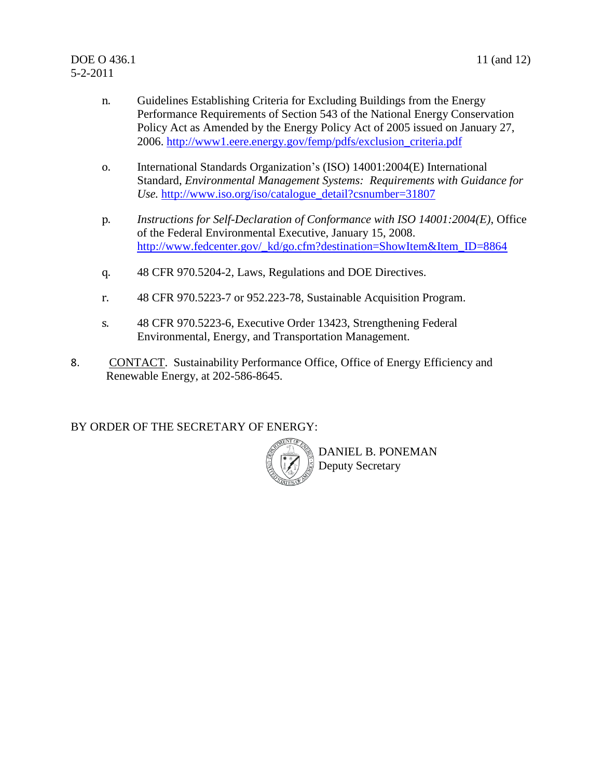- n. Guidelines Establishing Criteria for Excluding Buildings from the Energy Performance Requirements of Section 543 of the National Energy Conservation Policy Act as Amended by the Energy Policy Act of 2005 issued on January 27, 2006. [http://www1.eere.energy.gov/femp/pdfs/exclusion\\_criteria.pdf](http://www1.eere.energy.gov/femp/pdfs/exclusion_criteria.pdf)
- o. International Standards Organization's (ISO) 14001:2004(E) International Standard, *Environmental Management Systems: Requirements with Guidance for Use.* [http://www.iso.org/iso/catalogue\\_detail?csnumber=31807](http://www.iso.org/iso/catalogue_detail?csnumber=31807)
- p. *Instructions for Self-Declaration of Conformance with ISO 14001:2004(E)*, Office of the Federal Environmental Executive, January 15, 2008. [http://www.fedcenter.gov/\\_kd/go.cfm?destination=ShowItem&Item\\_ID=8864](http://www.fedcenter.gov/_kd/go.cfm?destination=ShowItem&Item_ID=8864)
- q. 48 CFR 970.5204-2, Laws, Regulations and DOE Directives.
- r. 48 CFR 970.5223-7 or 952.223-78, Sustainable Acquisition Program.
- s. 48 CFR 970.5223-6, Executive Order 13423, Strengthening Federal Environmental, Energy, and Transportation Management.
- 8. CONTACT. Sustainability Performance Office, Office of Energy Efficiency and Renewable Energy, at 202-586-8645.

BY ORDER OF THE SECRETARY OF ENERGY:



DANIEL B. PONEMAN Deputy Secretary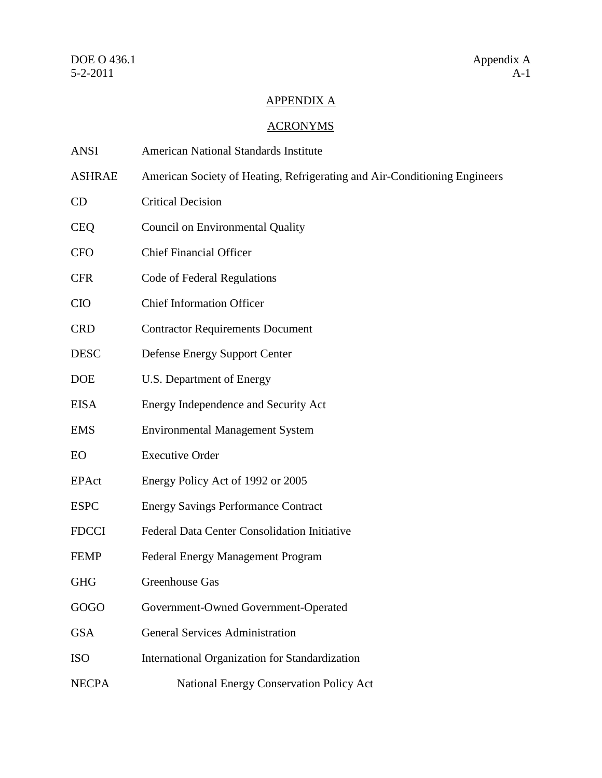### APPENDIX A

## ACRONYMS

| <b>ANSI</b>   | <b>American National Standards Institute</b>                              |
|---------------|---------------------------------------------------------------------------|
| <b>ASHRAE</b> | American Society of Heating, Refrigerating and Air-Conditioning Engineers |
| CD            | <b>Critical Decision</b>                                                  |
| <b>CEQ</b>    | Council on Environmental Quality                                          |
| <b>CFO</b>    | <b>Chief Financial Officer</b>                                            |
| <b>CFR</b>    | Code of Federal Regulations                                               |
| <b>CIO</b>    | <b>Chief Information Officer</b>                                          |
| <b>CRD</b>    | <b>Contractor Requirements Document</b>                                   |
| <b>DESC</b>   | <b>Defense Energy Support Center</b>                                      |
| <b>DOE</b>    | U.S. Department of Energy                                                 |
| <b>EISA</b>   | Energy Independence and Security Act                                      |
| <b>EMS</b>    | <b>Environmental Management System</b>                                    |
| EO            | <b>Executive Order</b>                                                    |
| EPAct         | Energy Policy Act of 1992 or 2005                                         |
| <b>ESPC</b>   | <b>Energy Savings Performance Contract</b>                                |
| <b>FDCCI</b>  | Federal Data Center Consolidation Initiative                              |
| <b>FEMP</b>   | <b>Federal Energy Management Program</b>                                  |
| <b>GHG</b>    | Greenhouse Gas                                                            |
| GOGO          | Government-Owned Government-Operated                                      |
| <b>GSA</b>    | <b>General Services Administration</b>                                    |
| <b>ISO</b>    | International Organization for Standardization                            |
| <b>NECPA</b>  | National Energy Conservation Policy Act                                   |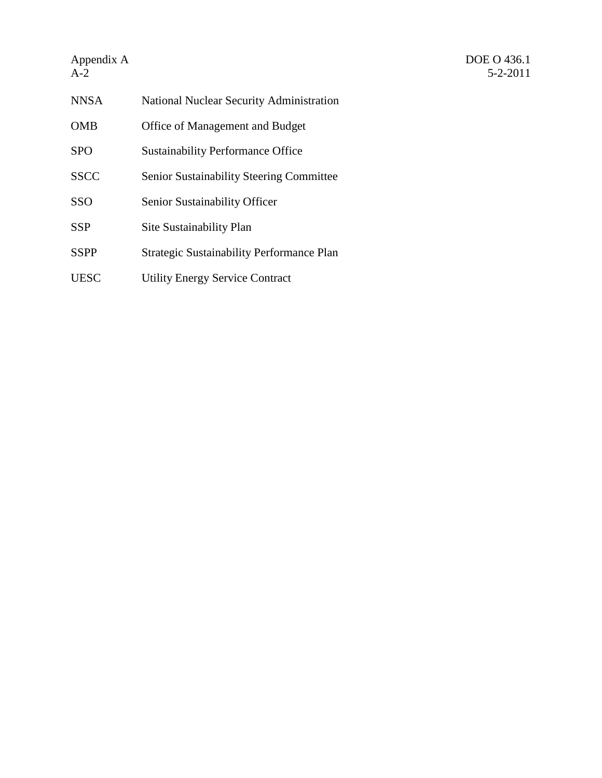# Appendix  $A$ <br>A-2

| <b>NNSA</b> | <b>National Nuclear Security Administration</b>  |
|-------------|--------------------------------------------------|
| OMB         | Office of Management and Budget                  |
| <b>SPO</b>  | <b>Sustainability Performance Office</b>         |
| <b>SSCC</b> | <b>Senior Sustainability Steering Committee</b>  |
| <b>SSO</b>  | Senior Sustainability Officer                    |
| <b>SSP</b>  | Site Sustainability Plan                         |
| <b>SSPP</b> | <b>Strategic Sustainability Performance Plan</b> |
| UESC        | <b>Utility Energy Service Contract</b>           |